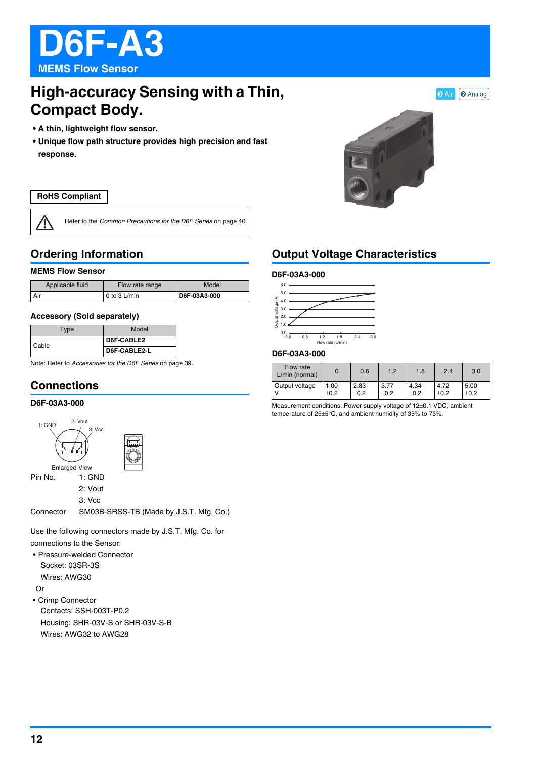

# **High-accuracy Sensing with a Thin, Compact Body.**

- **A thin, lightweight flow sensor.**
- **Unique flow path structure provides high precision and fast response.**

### **RoHS Compliant**

**/j** 

Refer to the *Common Precautions for the D6F Series* on page 40.

## **Ordering Information**

### **MEMS Flow Sensor**

| Applicable fluid | Flow rate range | Model        |  |
|------------------|-----------------|--------------|--|
| Air              | $0$ to 3 L/min  | D6F-03A3-000 |  |

#### **Accessory (Sold separately)**

| Type  | Model        |  |
|-------|--------------|--|
| Cable | D6F-CABLE2   |  |
|       | D6F-CABLE2-L |  |

Note: Refer to *Accessories for the D6F Series* on page 39.

# **Connections**

### **D6F-03A3-000**



Use the following connectors made by J.S.T. Mfg. Co. for

connections to the Sensor:

• Pressure-welded Connector Socket: 03SR-3S Wires: AWG30

Or

• Crimp Connector Contacts: SSH-003T-P0.2 Housing: SHR-03V-S or SHR-03V-S-B Wires: AWG32 to AWG28



## **Output Voltage Characteristics**

### **D6F-03A3-000**



#### **D6F-03A3-000**

| Flow rate<br>L/min (normal) |      | 0.6    | 1.2    | 1.8    | 2.4    | 3.0       |
|-----------------------------|------|--------|--------|--------|--------|-----------|
| Output voltage              | 00.  | 2.83   | 3.77   | 4.34   | 4.72   | 5.00      |
|                             | ±0.2 | $+0.2$ | $+0.2$ | $+0.2$ | $+0.2$ | $\pm 0.2$ |

Measurement conditions: Power supply voltage of 12±0.1 VDC, ambient temperature of 25±5°C, and ambient humidity of 35% to 75%.



**D** Air **D** Analog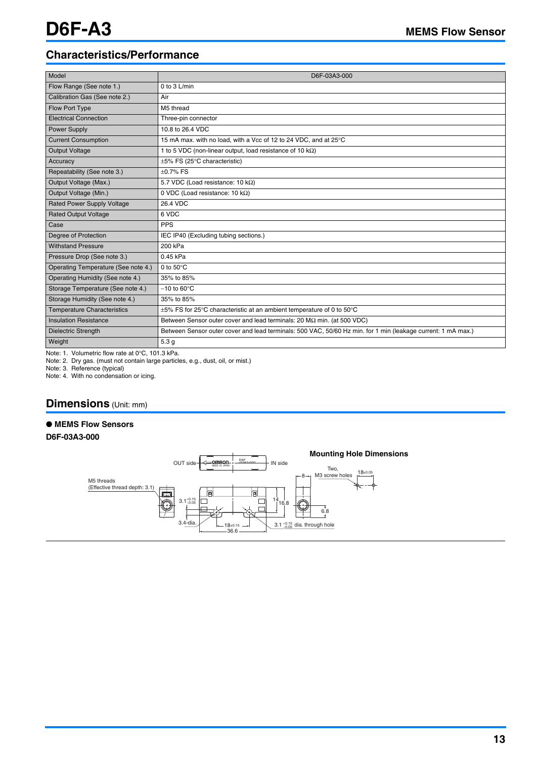### **Characteristics/Performance**

| Model                               | D6F-03A3-000                                                                                                 |
|-------------------------------------|--------------------------------------------------------------------------------------------------------------|
| Flow Range (See note 1.)            | 0 to $3$ L/min                                                                                               |
| Calibration Gas (See note 2.)       | Air                                                                                                          |
| Flow Port Type                      | M5 thread                                                                                                    |
| <b>Electrical Connection</b>        | Three-pin connector                                                                                          |
| <b>Power Supply</b>                 | 10.8 to 26.4 VDC                                                                                             |
| <b>Current Consumption</b>          | 15 mA max. with no load, with a Vcc of 12 to 24 VDC, and at 25°C                                             |
| Output Voltage                      | 1 to 5 VDC (non-linear output, load resistance of 10 $k\Omega$ )                                             |
| Accuracy                            | $\pm 5\%$ FS (25 $\degree$ C characteristic)                                                                 |
| Repeatability (See note 3.)         | $\pm 0.7\%$ FS                                                                                               |
| Output Voltage (Max.)               | 5.7 VDC (Load resistance: 10 k $\Omega$ )                                                                    |
| Output Voltage (Min.)               | 0 VDC (Load resistance: 10 $k\Omega$ )                                                                       |
| <b>Rated Power Supply Voltage</b>   | 26.4 VDC                                                                                                     |
| <b>Rated Output Voltage</b>         | 6 VDC                                                                                                        |
| Case                                | <b>PPS</b>                                                                                                   |
| Degree of Protection                | IEC IP40 (Excluding tubing sections.)                                                                        |
| <b>Withstand Pressure</b>           | 200 kPa                                                                                                      |
| Pressure Drop (See note 3.)         | 0.45 kPa                                                                                                     |
| Operating Temperature (See note 4.) | 0 to $50^{\circ}$ C                                                                                          |
| Operating Humidity (See note 4.)    | 35% to 85%                                                                                                   |
| Storage Temperature (See note 4.)   | $-10$ to 60 $\degree$ C                                                                                      |
| Storage Humidity (See note 4.)      | 35% to 85%                                                                                                   |
| <b>Temperature Characteristics</b>  | ±5% FS for 25°C characteristic at an ambient temperature of 0 to 50°C                                        |
| <b>Insulation Resistance</b>        | Between Sensor outer cover and lead terminals: 20 $\text{M}\Omega$ min. (at 500 VDC)                         |
| <b>Dielectric Strength</b>          | Between Sensor outer cover and lead terminals: 500 VAC, 50/60 Hz min. for 1 min (leakage current: 1 mA max.) |
| Weight                              | 5.3 <sub>g</sub>                                                                                             |

Note: 1. Volumetric flow rate at 0°C, 101.3 kPa.

Note: 2. Dry gas. (must not contain large particles, e.g., dust, oil, or mist.)

Note: 3. Reference (typical)

Note: 4. With no condensation or icing.

### **Dimensions** (Unit: mm)

### ● **MEMS Flow Sensors**

**D6F-03A3-000**